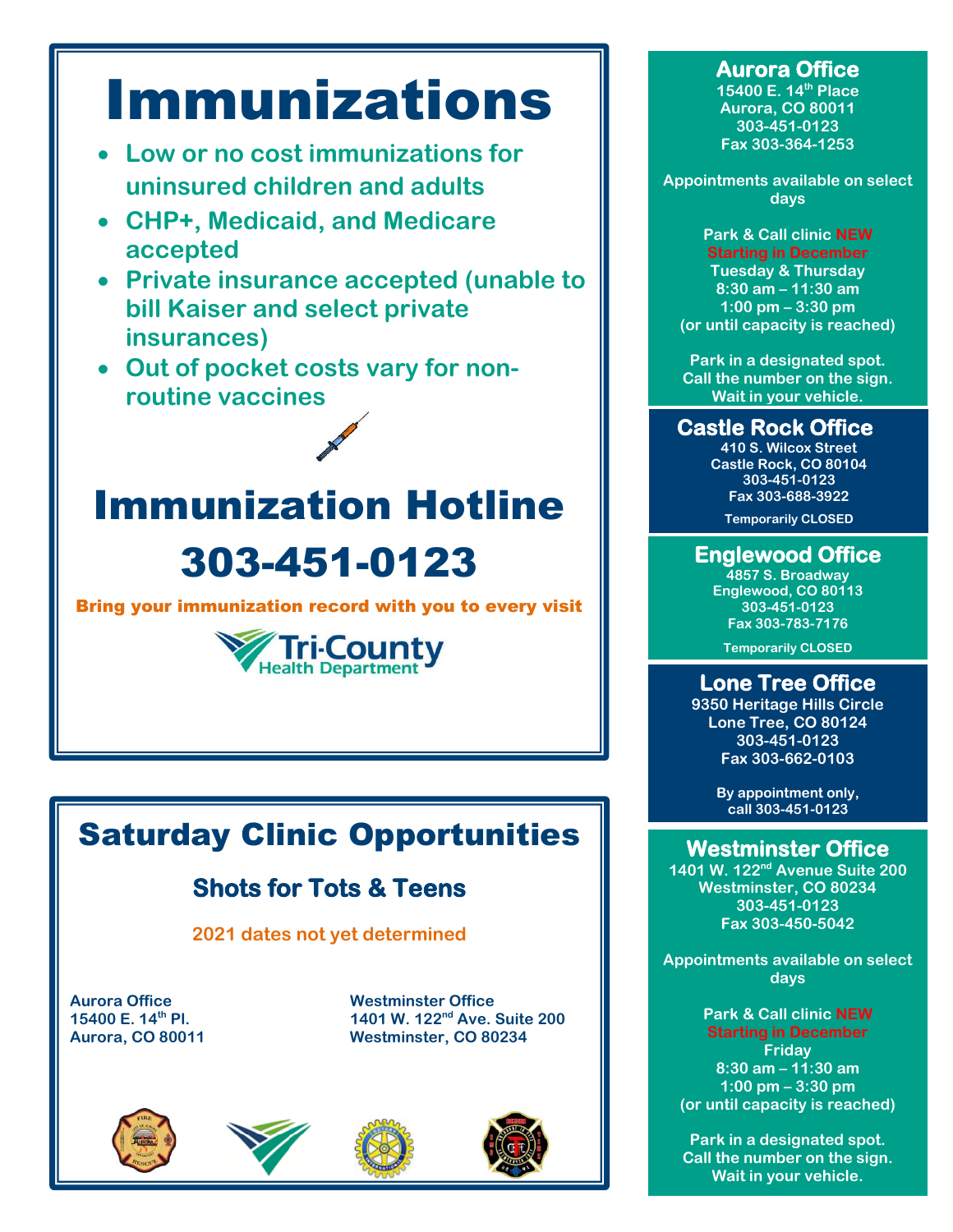# Immunizations

- **Low or no cost immunizations for uninsured children and adults**
- **CHP+, Medicaid, and Medicare accepted**
- **Private insurance accepted (unable to bill Kaiser and select private insurances)**
- **Out of pocket costs vary for nonroutine vaccines**

Immunization Hotline 303-451-0123

Bring your immunization record with you to every visit



# Saturday Clinic Opportunities

## **Shots for Tots & Teens**

**2021 dates not yet determined**

Aurora Office **Consumers Consumer Westminster Office**<br>15400 E. 14<sup>th</sup> Pl. **Marsh 2018** 1401 W. 122<sup>nd</sup> Ave. 9 **15400 E. 14th Pl. 1401 W. 122nd Ave. Suite 200 Aurora, CO 80011 Westminster, CO 80234**









#### **Aurora Office**

**15400 E. 14th Place Aurora, CO 80011 303-451-0123 Fax 303-364-1253**

**Appointments available on select days**

**Park & Call clinic NEW Starting in December Tuesday & Thursday 8:30 am – 11:30 am 1:00 pm – 3:30 pm (or until capacity is reached)** 

**Park in a designated spot. Call the number on the sign. Wait in your vehicle.**

#### **Castle Rock Office**

**410 S. Wilcox Street Castle Rock, CO 80104 303-451-0123 Fax 303-688-3922**

**Temporarily CLOSED**

#### **Englewood Office**

**4857 S. Broadway Englewood, CO 80113 303-451-0123 Fax 303-783-7176**

**Temporarily CLOSED**

#### **Lone Tree Office**

**9350 Heritage Hills Circle Lone Tree, CO 80124 303-451-0123 Fax 303-662-0103**

> **By appointment only, call 303-451-0123**

#### **Westminster Office**

**1401 W. 122nd Avenue Suite 200 Westminster, CO 80234 303-451-0123 Fax 303-450-5042**

**Appointments available on select days**

**Park & Call clinic NEW Starting in December Friday 8:30 am – 11:30 am 1:00 pm – 3:30 pm (or until capacity is reached)** 

**Park in a designated spot. Call the number on the sign. Wait in your vehicle.**